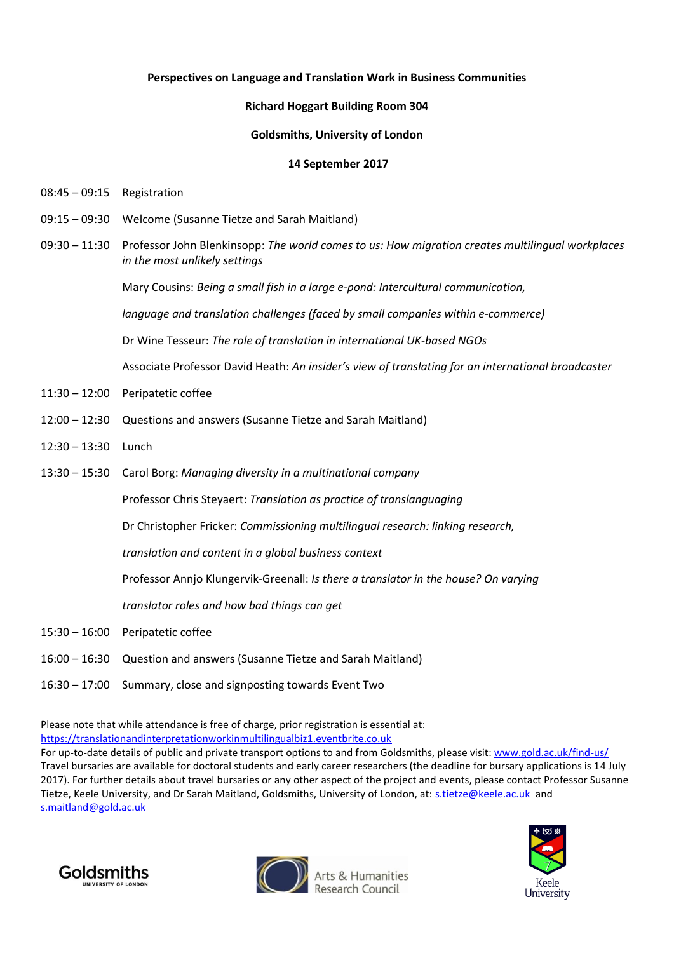## **Perspectives on Language and Translation Work in Business Communities**

## **Richard Hoggart Building Room 304**

## **Goldsmiths, University of London**

## **14 September 2017**

- 08:45 09:15 Registration
- 09:15 09:30 Welcome (Susanne Tietze and Sarah Maitland)
- 09:30 11:30 Professor John Blenkinsopp: *The world comes to us: How migration creates multilingual workplaces in the most unlikely settings*

Mary Cousins: *Being a small fish in a large e-pond: Intercultural communication,* 

*language and translation challenges (faced by small companies within e-commerce)*

Dr Wine Tesseur: *The role of translation in international UK-based NGOs*

Associate Professor David Heath: *An insider's view of translating for an international broadcaster*

- 11:30 12:00 Peripatetic coffee
- 12:00 12:30 Questions and answers (Susanne Tietze and Sarah Maitland)
- 12:30 13:30 Lunch
- 13:30 15:30 Carol Borg: *Managing diversity in a multinational company*

Professor Chris Steyaert: *Translation as practice of translanguaging*

Dr Christopher Fricker: *Commissioning multilingual research: linking research,*

*translation and content in a global business context*

Professor Annjo Klungervik-Greenall: *Is there a translator in the house? On varying*

*translator roles and how bad things can get*

- 15:30 16:00 Peripatetic coffee
- 16:00 16:30 Question and answers (Susanne Tietze and Sarah Maitland)
- 16:30 17:00 Summary, close and signposting towards Event Two

Please note that while attendance is free of charge, prior registration is essential at: [https://translationandinterpretationworkinmultilingualbiz1.eventbrite.co.uk](https://translationandinterpretationworkinmultilingualbiz1.eventbrite.co.uk/)

For up-to-date details of public and private transport options to and from Goldsmiths, please visit[: www.gold.ac.uk/find-us/](http://www.gold.ac.uk/find-us/)  Travel bursaries are available for doctoral students and early career researchers (the deadline for bursary applications is 14 July 2017). For further details about travel bursaries or any other aspect of the project and events, please contact Professor Susanne Tietze, Keele University, and Dr Sarah Maitland, Goldsmiths, University of London, at: [s.tietze@keele.ac.uk](mailto:s.tietze@keele.ac.uk) and [s.maitland@gold.ac.uk](mailto:s.maitland@gold.ac.uk)